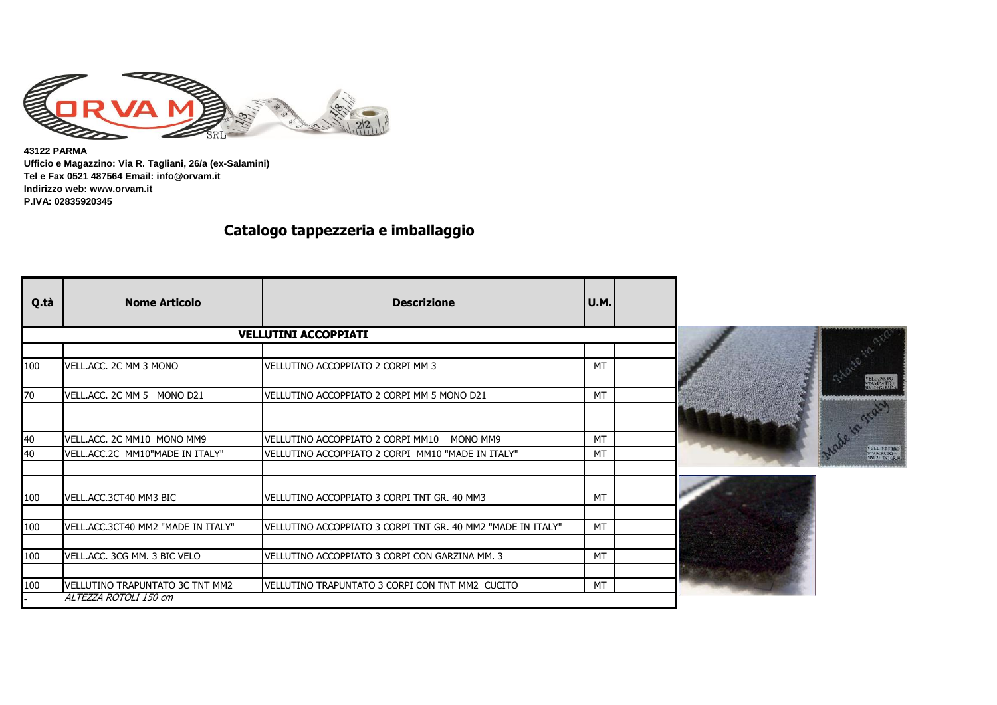

**43122 PARMA Ufficio e Magazzino: Via R. Tagliani, 26/a (ex-Salamini) Tel e Fax 0521 487564 Email: info@orvam.it Indirizzo web: www.orvam.it P.IVA: 02835920345**

## **Catalogo tappezzeria e imballaggio**

| Q.tà     | <b>Nome Articolo</b>                                          | <b>Descrizione</b>                                                                                 | U.M.            |  |                                              |
|----------|---------------------------------------------------------------|----------------------------------------------------------------------------------------------------|-----------------|--|----------------------------------------------|
|          |                                                               | <b>VELLUTINI ACCOPPIATI</b>                                                                        |                 |  |                                              |
|          |                                                               |                                                                                                    |                 |  |                                              |
| 100      | VELL.ACC. 2C MM 3 MONO                                        | VELLUTINO ACCOPPIATO 2 CORPI MM 3                                                                  | <b>MT</b>       |  |                                              |
|          |                                                               |                                                                                                    |                 |  | VELLAMERO<br>STAMPATO+<br>NM.2+GARENA        |
| 70       | VELL.ACC. 2C MM 5 MONO D21                                    | VELLUTINO ACCOPPIATO 2 CORPI MM 5 MONO D21                                                         | <b>MT</b>       |  |                                              |
|          |                                                               |                                                                                                    |                 |  |                                              |
|          |                                                               |                                                                                                    |                 |  |                                              |
| 40<br>40 | VELL.ACC. 2C MM10 MONO MM9<br>VELL.ACC.2C MM10"MADE IN ITALY" | VELLUTINO ACCOPPIATO 2 CORPI MM10<br>MONO MM9<br>VELLUTINO ACCOPPIATO 2 CORPI MM10 "MADE IN ITALY" | <b>MT</b><br>МT |  | VELL NEUTRO<br>STAMPATO +<br>MM 2 + TNT CR40 |
|          |                                                               |                                                                                                    |                 |  |                                              |
|          |                                                               |                                                                                                    |                 |  |                                              |
| 100      | VELL.ACC.3CT40 MM3 BIC                                        | VELLUTINO ACCOPPIATO 3 CORPI TNT GR. 40 MM3                                                        | <b>MT</b>       |  |                                              |
|          |                                                               |                                                                                                    |                 |  |                                              |
| 100      | VELL.ACC.3CT40 MM2 "MADE IN ITALY"                            | VELLUTINO ACCOPPIATO 3 CORPI TNT GR. 40 MM2 "MADE IN ITALY"                                        | <b>MT</b>       |  |                                              |
|          |                                                               |                                                                                                    |                 |  |                                              |
| 100      | VELL, ACC. 3CG MM. 3 BIC VELO                                 | VELLUTINO ACCOPPIATO 3 CORPI CON GARZINA MM. 3                                                     | <b>MT</b>       |  |                                              |
|          |                                                               |                                                                                                    |                 |  |                                              |
| 100      | VELLUTINO TRAPUNTATO 3C TNT MM2                               | VELLUTINO TRAPUNTATO 3 CORPI CON TNT MM2 CUCITO                                                    | <b>MT</b>       |  |                                              |
|          | ALTEZZA ROTOLI 150 cm                                         |                                                                                                    |                 |  |                                              |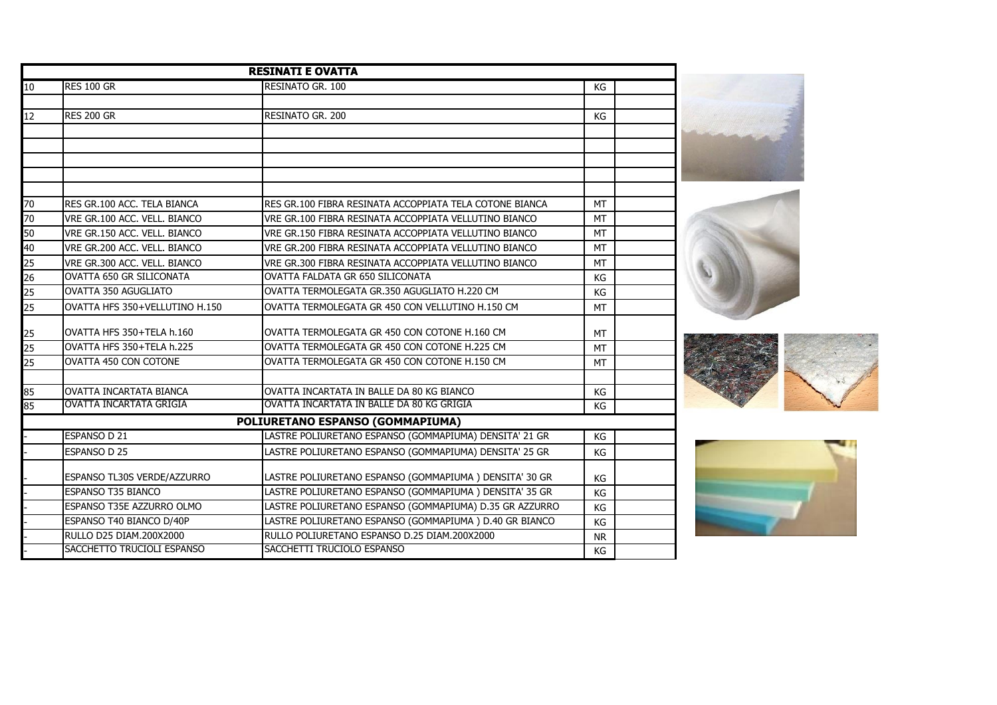|          |                                | <b>RESINATI E OVATTA</b>                                |           |  |
|----------|--------------------------------|---------------------------------------------------------|-----------|--|
| 10       | <b>RES 100 GR</b>              | RESINATO GR. 100                                        | KG        |  |
|          |                                |                                                         |           |  |
| 12       | <b>RES 200 GR</b>              | RESINATO GR. 200                                        | КG        |  |
|          |                                |                                                         |           |  |
|          |                                |                                                         |           |  |
|          |                                |                                                         |           |  |
|          |                                |                                                         |           |  |
| 70       | RES GR.100 ACC. TELA BIANCA    | RES GR.100 FIBRA RESINATA ACCOPPIATA TELA COTONE BIANCA | <b>MT</b> |  |
| 70       | VRE GR.100 ACC. VELL. BIANCO   | VRE GR.100 FIBRA RESINATA ACCOPPIATA VELLUTINO BIANCO   | <b>MT</b> |  |
|          |                                |                                                         |           |  |
| 50       | VRE GR.150 ACC. VELL. BIANCO   | VRE GR.150 FIBRA RESINATA ACCOPPIATA VELLUTINO BIANCO   | <b>MT</b> |  |
| 40<br>25 | VRE GR.200 ACC. VELL. BIANCO   | VRE GR.200 FIBRA RESINATA ACCOPPIATA VELLUTINO BIANCO   | <b>MT</b> |  |
| 26       | VRE GR.300 ACC, VELL, BIANCO   | VRE GR.300 FIBRA RESINATA ACCOPPIATA VELLUTINO BIANCO   | <b>MT</b> |  |
|          | OVATTA 650 GR SILICONATA       | OVATTA FALDATA GR 650 SILICONATA                        | KG        |  |
|          | OVATTA 350 AGUGLIATO           | OVATTA TERMOLEGATA GR.350 AGUGLIATO H.220 CM            | KG        |  |
|          | OVATTA HFS 350+VELLUTINO H.150 | OVATTA TERMOLEGATA GR 450 CON VELLUTINO H.150 CM        | <b>MT</b> |  |
|          | OVATTA HFS 350+TELA h.160      | OVATTA TERMOLEGATA GR 450 CON COTONE H.160 CM           | <b>MT</b> |  |
| 25       | OVATTA HFS 350+TELA h.225      | OVATTA TERMOLEGATA GR 450 CON COTONE H.225 CM           | <b>MT</b> |  |
| 25       | OVATTA 450 CON COTONE          | OVATTA TERMOLEGATA GR 450 CON COTONE H.150 CM           | <b>MT</b> |  |
| 85       | OVATTA INCARTATA BIANCA        | OVATTA INCARTATA IN BALLE DA 80 KG BIANCO               | KG        |  |
| 85       | <b>OVATTA INCARTATA GRIGIA</b> | OVATTA INCARTATA IN BALLE DA 80 KG GRIGIA               | KG        |  |
|          |                                | POLIURETANO ESPANSO (GOMMAPIUMA)                        |           |  |
|          | ESPANSO D 21                   | LASTRE POLIURETANO ESPANSO (GOMMAPIUMA) DENSITA' 21 GR  | KG        |  |
|          | ESPANSO D 25                   | LASTRE POLIURETANO ESPANSO (GOMMAPIUMA) DENSITA' 25 GR  | KG        |  |
|          |                                |                                                         |           |  |
|          | ESPANSO TL30S VERDE/AZZURRO    | LASTRE POLIURETANO ESPANSO (GOMMAPIUMA) DENSITA' 30 GR  | KG        |  |
|          | <b>ESPANSO T35 BIANCO</b>      | LASTRE POLIURETANO ESPANSO (GOMMAPIUMA) DENSITA' 35 GR  | KG        |  |
|          | ESPANSO T35E AZZURRO OLMO      | LASTRE POLIURETANO ESPANSO (GOMMAPIUMA) D.35 GR AZZURRO | KG        |  |
|          | ESPANSO T40 BIANCO D/40P       | LASTRE POLIURETANO ESPANSO (GOMMAPIUMA) D.40 GR BIANCO  | KG        |  |
|          | RULLO D25 DIAM.200X2000        | RULLO POLIURETANO ESPANSO D.25 DIAM.200X2000            | <b>NR</b> |  |
|          | SACCHETTO TRUCIOLI ESPANSO     | SACCHETTI TRUCIOLO ESPANSO                              | KG        |  |

. T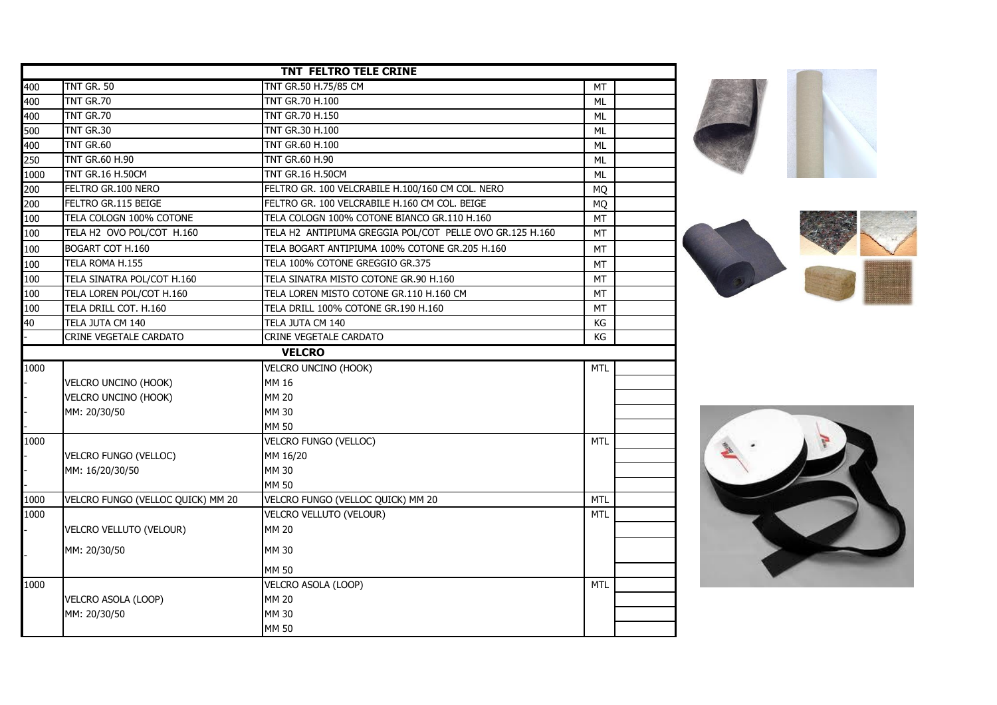|      |                                   | TNT FELTRO TELE CRINE                                    |            |  |
|------|-----------------------------------|----------------------------------------------------------|------------|--|
| 400  | <b>TNT GR. 50</b>                 | TNT GR.50 H.75/85 CM                                     | МT         |  |
| 400  | TNT GR.70                         | TNT GR.70 H.100                                          | ML         |  |
| 400  | <b>TNT GR.70</b>                  | <b>TNT GR.70 H.150</b>                                   | ML         |  |
| 500  | TNT GR.30                         | <b>TNT GR.30 H.100</b>                                   | ML         |  |
| 400  | <b>TNT GR.60</b>                  | TNT GR.60 H.100                                          | ML         |  |
| 250  | <b>TNT GR.60 H.90</b>             | <b>TNT GR.60 H.90</b>                                    | ML         |  |
| 1000 | <b>TNT GR.16 H.50CM</b>           | <b>TNT GR.16 H.50CM</b>                                  | ML         |  |
| 200  | FELTRO GR.100 NERO                | FELTRO GR. 100 VELCRABILE H.100/160 CM COL. NERO         | МQ         |  |
| 200  | FELTRO GR.115 BEIGE               | FELTRO GR. 100 VELCRABILE H.160 CM COL. BEIGE            | МQ         |  |
| 100  | TELA COLOGN 100% COTONE           | TELA COLOGN 100% COTONE BIANCO GR.110 H.160              | МT         |  |
| 100  | TELA H2 OVO POL/COT H.160         | TELA H2 ANTIPIUMA GREGGIA POL/COT PELLE OVO GR.125 H.160 | МT         |  |
| 100  | BOGART COT H.160                  | TELA BOGART ANTIPIUMA 100% COTONE GR.205 H.160           | МT         |  |
| 100  | TELA ROMA H.155                   | TELA 100% COTONE GREGGIO GR.375                          | МT         |  |
| 100  | TELA SINATRA POL/COT H.160        | TELA SINATRA MISTO COTONE GR.90 H.160                    | MT         |  |
| 100  | TELA LOREN POL/COT H.160          | TELA LOREN MISTO COTONE GR.110 H.160 CM                  | МT         |  |
| 100  | TELA DRILL COT. H.160             | TELA DRILL 100% COTONE GR.190 H.160                      | МT         |  |
| 40   | TELA JUTA CM 140                  | TELA JUTA CM 140                                         | КG         |  |
|      | CRINE VEGETALE CARDATO            | CRINE VEGETALE CARDATO                                   | KG         |  |
|      |                                   | <b>VELCRO</b>                                            |            |  |
| 1000 |                                   | <b>VELCRO UNCINO (HOOK)</b>                              | <b>MTL</b> |  |
|      | <b>VELCRO UNCINO (HOOK)</b>       | MM 16                                                    |            |  |
|      | <b>VELCRO UNCINO (HOOK)</b>       | <b>MM 20</b>                                             |            |  |
|      | MM: 20/30/50                      | <b>MM 30</b>                                             |            |  |
|      |                                   | <b>MM 50</b>                                             |            |  |
| 1000 |                                   | VELCRO FUNGO (VELLOC)                                    | <b>MTL</b> |  |
|      | VELCRO FUNGO (VELLOC)             | MM 16/20                                                 |            |  |
|      | MM: 16/20/30/50                   | <b>MM 30</b>                                             |            |  |
|      |                                   | <b>MM 50</b>                                             |            |  |
| 1000 | VELCRO FUNGO (VELLOC QUICK) MM 20 | VELCRO FUNGO (VELLOC QUICK) MM 20                        | <b>MTL</b> |  |
| 1000 |                                   | VELCRO VELLUTO (VELOUR)                                  | <b>MTL</b> |  |
|      | VELCRO VELLUTO (VELOUR)           | <b>MM 20</b>                                             |            |  |
|      | MM: 20/30/50                      | <b>MM 30</b>                                             |            |  |
|      |                                   | <b>MM 50</b>                                             |            |  |
| 1000 |                                   | VELCRO ASOLA (LOOP)                                      | <b>MTL</b> |  |
|      | VELCRO ASOLA (LOOP)               | <b>MM 20</b>                                             |            |  |
|      | MM: 20/30/50                      | <b>MM 30</b>                                             |            |  |
|      |                                   | <b>MM 50</b>                                             |            |  |





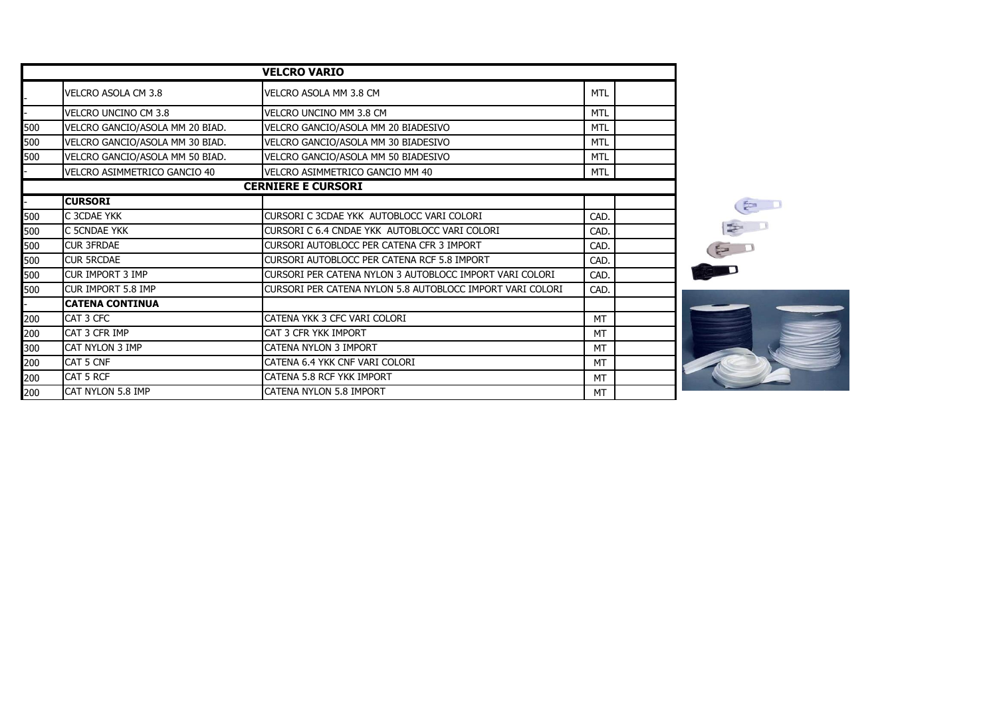|     |                                 | <b>VELCRO VARIO</b>                                       |            |
|-----|---------------------------------|-----------------------------------------------------------|------------|
|     | VELCRO ASOLA CM 3.8             | VELCRO ASOLA MM 3.8 CM                                    | <b>MTL</b> |
|     | VELCRO UNCINO CM 3.8            | VELCRO UNCINO MM 3.8 CM                                   | <b>MTL</b> |
| 500 | VELCRO GANCIO/ASOLA MM 20 BIAD. | VELCRO GANCIO/ASOLA MM 20 BIADESIVO                       | <b>MTL</b> |
| 500 | VELCRO GANCIO/ASOLA MM 30 BIAD. | VELCRO GANCIO/ASOLA MM 30 BIADESIVO                       | <b>MTL</b> |
| 500 | VELCRO GANCIO/ASOLA MM 50 BIAD. | VELCRO GANCIO/ASOLA MM 50 BIADESIVO                       | <b>MTL</b> |
|     | VELCRO ASIMMETRICO GANCIO 40    | VELCRO ASIMMETRICO GANCIO MM 40                           | MTL        |
|     |                                 | <b>CERNIERE E CURSORI</b>                                 |            |
|     | <b>CURSORI</b>                  |                                                           |            |
| 500 | C 3CDAE YKK                     | CURSORI C 3CDAE YKK AUTOBLOCC VARI COLORI                 | CAD.       |
| 500 | C 5CNDAE YKK                    | CURSORI C 6.4 CNDAE YKK AUTOBLOCC VARI COLORI             | CAD.       |
| 500 | <b>CUR 3FRDAE</b>               | CURSORI AUTOBLOCC PER CATENA CFR 3 IMPORT                 | CAD.       |
| 500 | <b>CUR 5RCDAE</b>               | CURSORI AUTOBLOCC PER CATENA RCF 5.8 IMPORT               | CAD.       |
| 500 | <b>CUR IMPORT 3 IMP</b>         | CURSORI PER CATENA NYLON 3 AUTOBLOCC IMPORT VARI COLORI   | CAD.       |
| 500 | <b>CUR IMPORT 5.8 IMP</b>       | CURSORI PER CATENA NYLON 5.8 AUTOBLOCC IMPORT VARI COLORI | CAD.       |
|     | <b>CATENA CONTINUA</b>          |                                                           |            |
| 200 | CAT 3 CFC                       | CATENA YKK 3 CFC VARI COLORI                              | <b>MT</b>  |
| 200 | CAT 3 CFR IMP                   | CAT 3 CFR YKK IMPORT                                      | <b>MT</b>  |
| 300 | CAT NYLON 3 IMP                 | CATENA NYLON 3 IMPORT                                     | MT         |
| 200 | CAT 5 CNF                       | CATENA 6.4 YKK CNF VARI COLORI                            | <b>MT</b>  |
| 200 | CAT 5 RCF                       | CATENA 5.8 RCF YKK IMPORT                                 | MT         |
| 200 | CAT NYLON 5.8 IMP               | <b>CATENA NYLON 5.8 IMPORT</b>                            | MT         |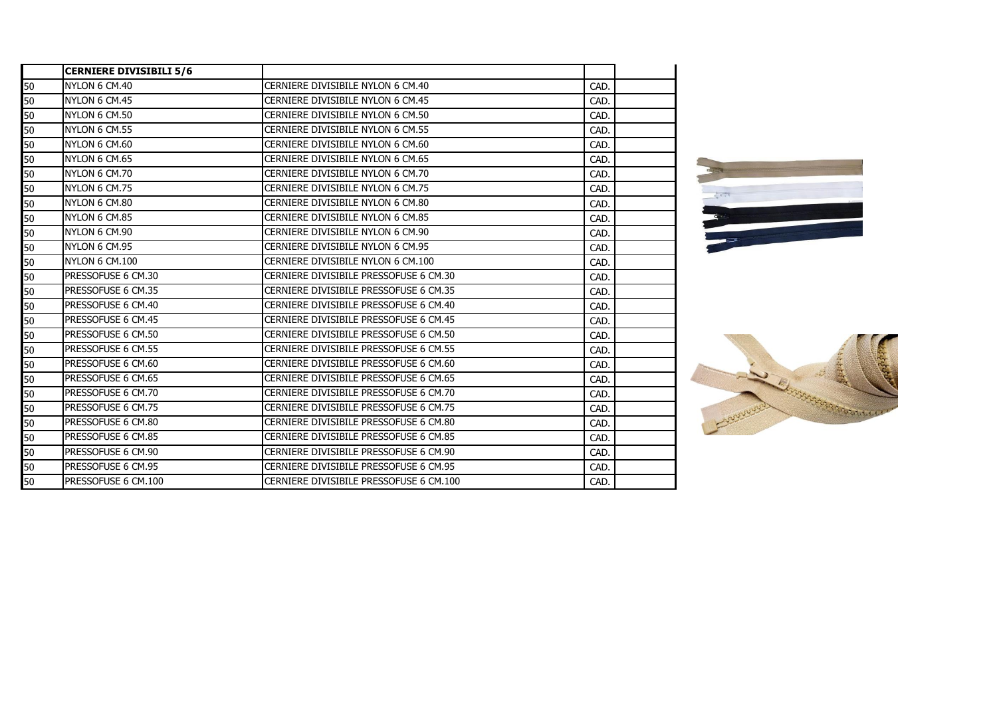|    | <b>CERNIERE DIVISIBILI 5/6</b> |                                         |      |  |
|----|--------------------------------|-----------------------------------------|------|--|
| 50 | NYLON 6 CM.40                  | CERNIERE DIVISIBILE NYLON 6 CM.40       | CAD. |  |
| 50 | NYLON 6 CM.45                  | CERNIERE DIVISIBILE NYLON 6 CM.45       | CAD. |  |
| 50 | NYLON 6 CM.50                  | CERNIERE DIVISIBILE NYLON 6 CM.50       | CAD. |  |
| 50 | NYLON 6 CM.55                  | CERNIERE DIVISIBILE NYLON 6 CM.55       | CAD. |  |
| 50 | NYLON 6 CM.60                  | CERNIERE DIVISIBILE NYLON 6 CM.60       | CAD. |  |
| 50 | NYLON 6 CM.65                  | CERNIERE DIVISIBILE NYLON 6 CM.65       | CAD. |  |
| 50 | NYLON 6 CM.70                  | CERNIERE DIVISIBILE NYLON 6 CM.70       | CAD. |  |
| 50 | NYLON 6 CM.75                  | CERNIERE DIVISIBILE NYLON 6 CM.75       | CAD. |  |
| 50 | NYLON 6 CM.80                  | CERNIERE DIVISIBILE NYLON 6 CM.80       | CAD. |  |
| 50 | NYLON 6 CM.85                  | CERNIERE DIVISIBILE NYLON 6 CM.85       | CAD. |  |
| 50 | NYLON 6 CM.90                  | CERNIERE DIVISIBILE NYLON 6 CM.90       | CAD. |  |
| 50 | NYLON 6 CM.95                  | CERNIERE DIVISIBILE NYLON 6 CM.95       | CAD. |  |
| 50 | <b>NYLON 6 CM.100</b>          | CERNIERE DIVISIBILE NYLON 6 CM.100      | CAD. |  |
| 50 | PRESSOFUSE 6 CM.30             | CERNIERE DIVISIBILE PRESSOFUSE 6 CM.30  | CAD. |  |
| 50 | PRESSOFUSE 6 CM.35             | CERNIERE DIVISIBILE PRESSOFUSE 6 CM.35  | CAD. |  |
| 50 | PRESSOFUSE 6 CM.40             | CERNIERE DIVISIBILE PRESSOFUSE 6 CM.40  | CAD. |  |
| 50 | PRESSOFUSE 6 CM.45             | CERNIERE DIVISIBILE PRESSOFUSE 6 CM.45  | CAD. |  |
| 50 | PRESSOFUSE 6 CM.50             | CERNIERE DIVISIBILE PRESSOFUSE 6 CM.50  | CAD. |  |
| 50 | PRESSOFUSE 6 CM.55             | CERNIERE DIVISIBILE PRESSOFUSE 6 CM.55  | CAD. |  |
| 50 | PRESSOFUSE 6 CM.60             | CERNIERE DIVISIBILE PRESSOFUSE 6 CM.60  | CAD. |  |
| 50 | PRESSOFUSE 6 CM.65             | CERNIERE DIVISIBILE PRESSOFUSE 6 CM.65  | CAD. |  |
| 50 | PRESSOFUSE 6 CM.70             | CERNIERE DIVISIBILE PRESSOFUSE 6 CM.70  | CAD. |  |
| 50 | PRESSOFUSE 6 CM.75             | CERNIERE DIVISIBILE PRESSOFUSE 6 CM.75  | CAD. |  |
| 50 | PRESSOFUSE 6 CM.80             | CERNIERE DIVISIBILE PRESSOFUSE 6 CM.80  | CAD. |  |
| 50 | PRESSOFUSE 6 CM.85             | CERNIERE DIVISIBILE PRESSOFUSE 6 CM.85  | CAD. |  |
| 50 | PRESSOFUSE 6 CM.90             | CERNIERE DIVISIBILE PRESSOFUSE 6 CM.90  | CAD. |  |
| 50 | PRESSOFUSE 6 CM.95             | CERNIERE DIVISIBILE PRESSOFUSE 6 CM.95  | CAD. |  |
| 50 | PRESSOFUSE 6 CM.100            | CERNIERE DIVISIBILE PRESSOFUSE 6 CM.100 | CAD. |  |



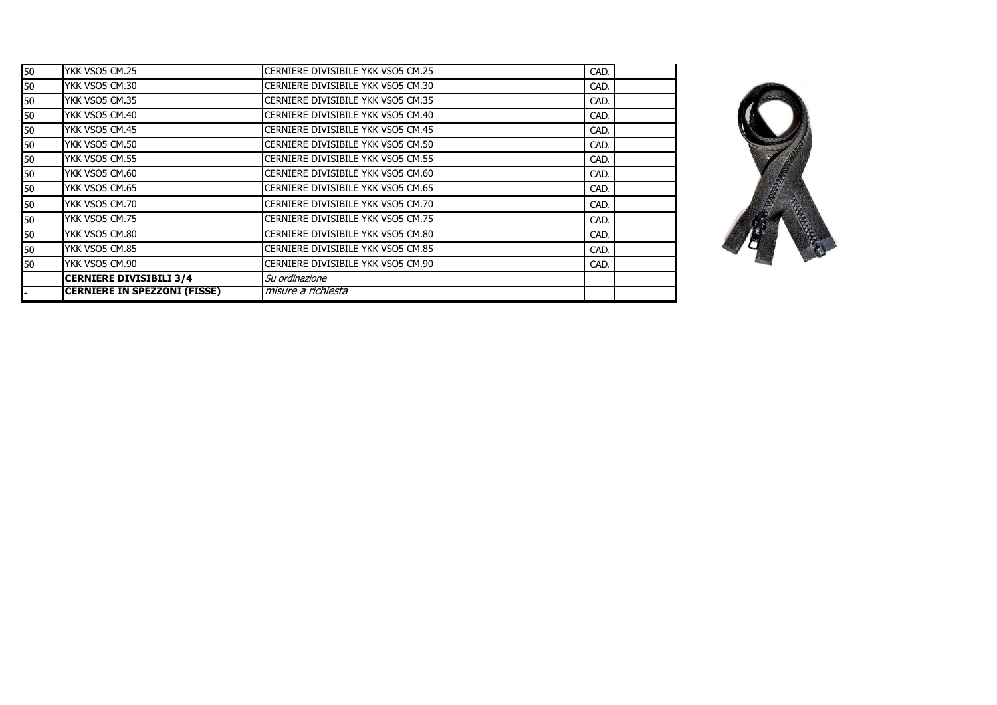|    | <b>CERNIERE IN SPEZZONI (FISSE)</b> | misure a richiesta                 |      |  |
|----|-------------------------------------|------------------------------------|------|--|
|    | <b>CERNIERE DIVISIBILI 3/4</b>      | Su ordinazione                     |      |  |
| 50 | YKK VSO5 CM.90                      | CERNIERE DIVISIBILE YKK VSO5 CM.90 | CAD. |  |
| 50 | YKK VSO5 CM.85                      | CERNIERE DIVISIBILE YKK VSO5 CM.85 | CAD. |  |
| 50 | YKK VSO5 CM.80                      | CERNIERE DIVISIBILE YKK VSO5 CM.80 | CAD. |  |
| 50 | YKK VSO5 CM.75                      | CERNIERE DIVISIBILE YKK VSO5 CM.75 | CAD. |  |
| 50 | YKK VSO5 CM.70                      | CERNIERE DIVISIBILE YKK VSO5 CM.70 | CAD. |  |
| 50 | YKK VSO5 CM.65                      | CERNIERE DIVISIBILE YKK VSO5 CM.65 | CAD. |  |
| 50 | YKK VSO5 CM.60                      | CERNIERE DIVISIBILE YKK VSO5 CM.60 | CAD. |  |
| 50 | YKK VSO5 CM.55                      | CERNIERE DIVISIBILE YKK VSO5 CM.55 | CAD. |  |
| 50 | YKK VSO5 CM.50                      | CERNIERE DIVISIBILE YKK VSO5 CM.50 | CAD. |  |
| 50 | YKK VSO5 CM.45                      | CERNIERE DIVISIBILE YKK VSO5 CM.45 | CAD. |  |
| 50 | YKK VSO5 CM.40                      | CERNIERE DIVISIBILE YKK VSO5 CM.40 | CAD. |  |
| 50 | YKK VSO5 CM.35                      | CERNIERE DIVISIBILE YKK VSO5 CM.35 | CAD. |  |
| 50 | YKK VSO5 CM.30                      | CERNIERE DIVISIBILE YKK VSO5 CM.30 | CAD. |  |
| 50 | YKK VSO5 CM.25                      | CERNIERE DIVISIBILE YKK VSO5 CM.25 | CAD. |  |

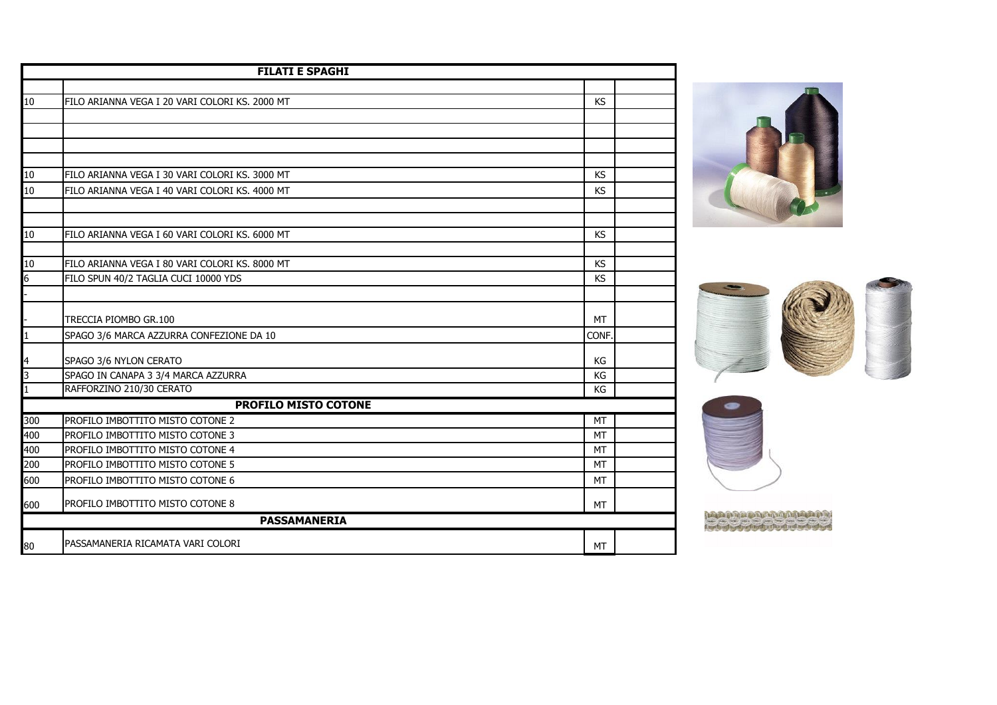|              | <b>FILATI E SPAGHI</b>                                          |           |  |
|--------------|-----------------------------------------------------------------|-----------|--|
|              |                                                                 |           |  |
| 10           | FILO ARIANNA VEGA I 20 VARI COLORI KS, 2000 MT                  | KS        |  |
|              |                                                                 |           |  |
|              |                                                                 |           |  |
|              |                                                                 |           |  |
|              |                                                                 |           |  |
| 10           | FILO ARIANNA VEGA I 30 VARI COLORI KS. 3000 MT                  | <b>KS</b> |  |
| 10           | FILO ARIANNA VEGA I 40 VARI COLORI KS. 4000 MT                  | <b>KS</b> |  |
|              |                                                                 |           |  |
|              |                                                                 |           |  |
| 10           | FILO ARIANNA VEGA I 60 VARI COLORI KS. 6000 MT                  | <b>KS</b> |  |
|              |                                                                 |           |  |
| 10           | FILO ARIANNA VEGA I 80 VARI COLORI KS, 8000 MT                  | <b>KS</b> |  |
| 6            | FILO SPUN 40/2 TAGLIA CUCI 10000 YDS                            | <b>KS</b> |  |
|              |                                                                 |           |  |
|              | TRECCIA PIOMBO GR.100                                           | <b>MT</b> |  |
| $\mathbf{1}$ | SPAGO 3/6 MARCA AZZURRA CONFEZIONE DA 10                        | CONF.     |  |
|              |                                                                 |           |  |
| 4<br>3       | SPAGO 3/6 NYLON CERATO                                          | KG        |  |
| $\mathbf{1}$ | SPAGO IN CANAPA 3 3/4 MARCA AZZURRA<br>RAFFORZINO 210/30 CERATO | KG<br>KG  |  |
|              | <b>PROFILO MISTO COTONE</b>                                     |           |  |
| 300          | PROFILO IMBOTTITO MISTO COTONE 2                                | MT        |  |
| 400          | PROFILO IMBOTTITO MISTO COTONE 3                                | <b>MT</b> |  |
| 400          | PROFILO IMBOTTITO MISTO COTONE 4                                | <b>MT</b> |  |
| 200          | PROFILO IMBOTTITO MISTO COTONE 5                                | MT        |  |
| 600          | PROFILO IMBOTTITO MISTO COTONE 6                                | MT        |  |
|              |                                                                 |           |  |
| 600          | PROFILO IMBOTTITO MISTO COTONE 8                                | <b>MT</b> |  |
|              | <b>PASSAMANERIA</b>                                             |           |  |
| 80           | PASSAMANERIA RICAMATA VARI COLORI                               | MT        |  |





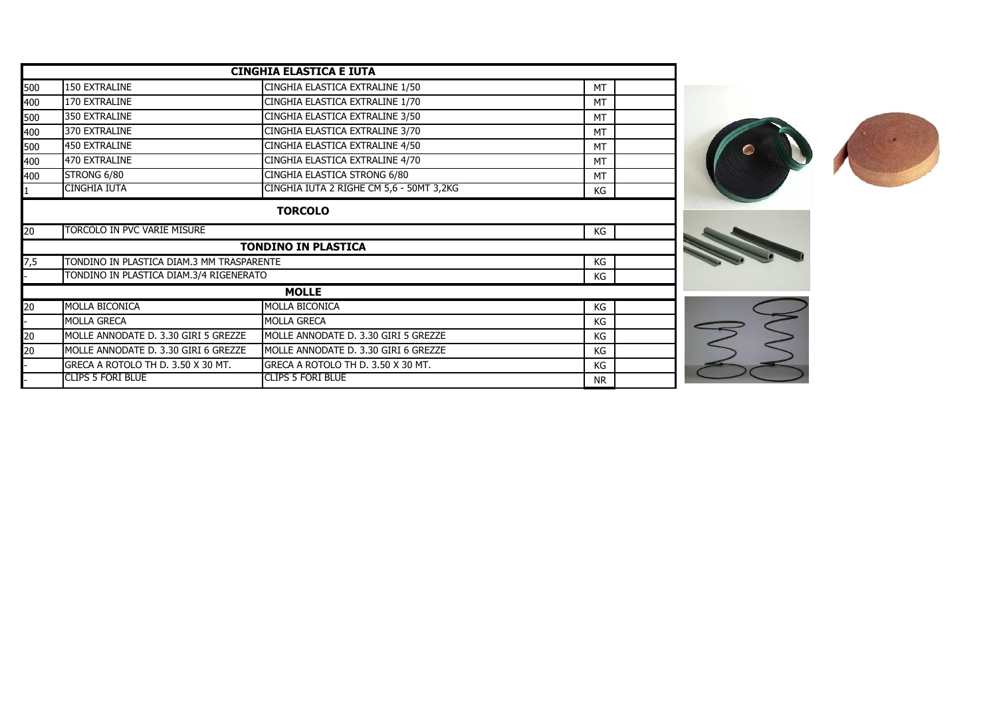|     |                                           | <b>CINGHIA ELASTICA E IUTA</b>           |           |  |
|-----|-------------------------------------------|------------------------------------------|-----------|--|
| 500 | 150 EXTRALINE                             | CINGHIA ELASTICA EXTRALINE 1/50          | <b>MT</b> |  |
| 400 | 170 EXTRALINE                             | CINGHIA ELASTICA EXTRALINE 1/70          | MT        |  |
| 500 | 350 EXTRALINE                             | CINGHIA ELASTICA EXTRALINE 3/50          | <b>MT</b> |  |
| 400 | 370 EXTRALINE                             | CINGHIA ELASTICA EXTRALINE 3/70          | <b>MT</b> |  |
| 500 | <b>450 EXTRALINE</b>                      | CINGHIA ELASTICA EXTRALINE 4/50          | <b>MT</b> |  |
| 400 | 470 EXTRALINE                             | CINGHIA ELASTICA EXTRALINE 4/70          | <b>MT</b> |  |
| 400 | STRONG 6/80                               | CINGHIA ELASTICA STRONG 6/80             | <b>MT</b> |  |
|     | CINGHIA IUTA                              | CINGHIA IUTA 2 RIGHE CM 5,6 - 50MT 3,2KG | КG        |  |
|     |                                           | <b>TORCOLO</b>                           |           |  |
| 20  | TORCOLO IN PVC VARIE MISURE               |                                          | КG        |  |
|     |                                           | <b>TONDINO IN PLASTICA</b>               |           |  |
| 7,5 | TONDINO IN PLASTICA DIAM.3 MM TRASPARENTE |                                          | КG        |  |
|     | TONDINO IN PLASTICA DIAM.3/4 RIGENERATO   |                                          | КG        |  |
|     |                                           | <b>MOLLE</b>                             |           |  |
| 20  | MOLLA BICONICA                            | <b>MOLLA BICONICA</b>                    | KG        |  |
|     | <b>MOLLA GRECA</b>                        | <b>MOLLA GRECA</b>                       | KG        |  |
| 20  | MOLLE ANNODATE D. 3.30 GIRI 5 GREZZE      | MOLLE ANNODATE D. 3.30 GIRI 5 GREZZE     | КG        |  |
| 20  | MOLLE ANNODATE D. 3.30 GIRI 6 GREZZE      | MOLLE ANNODATE D. 3.30 GIRI 6 GREZZE     | KG        |  |
|     | GRECA A ROTOLO TH D. 3.50 X 30 MT.        | GRECA A ROTOLO TH D. 3.50 X 30 MT.       | KG        |  |
|     | <b>CLIPS 5 FORI BLUE</b>                  | <b>ICLIPS 5 FORI BLUE</b>                | <b>NR</b> |  |
|     |                                           |                                          |           |  |



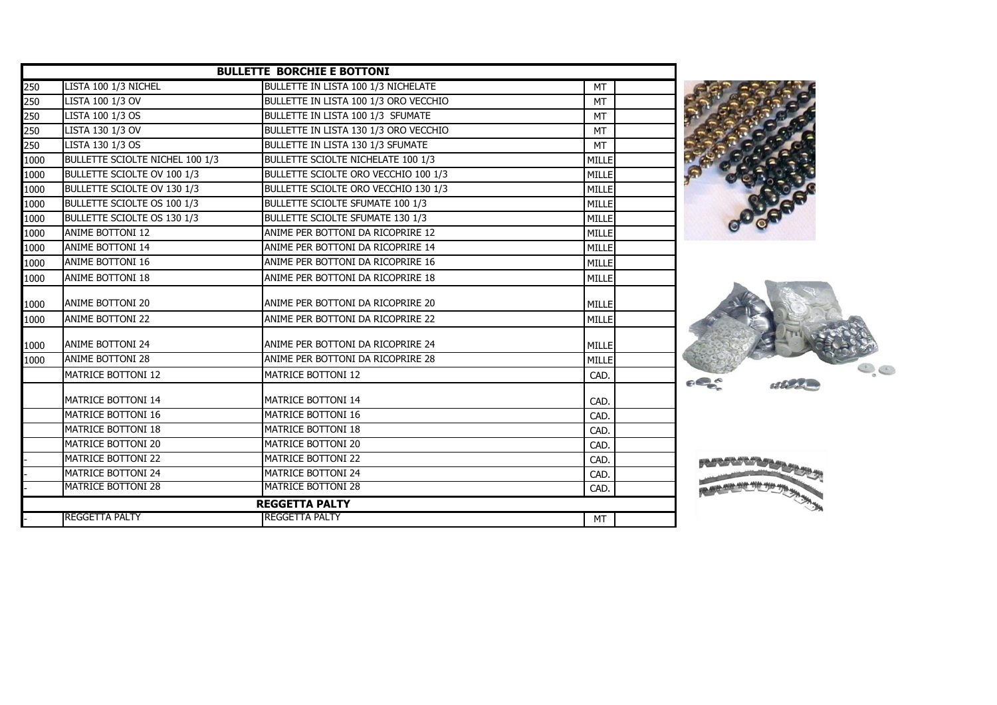|      |                                 | <b>BULLETTE BORCHIE E BOTTONI</b>          |              |  |
|------|---------------------------------|--------------------------------------------|--------------|--|
| 250  | LISTA 100 1/3 NICHEL            | <b>BULLETTE IN LISTA 100 1/3 NICHELATE</b> | <b>MT</b>    |  |
| 250  | LISTA 100 1/3 OV                | BULLETTE IN LISTA 100 1/3 ORO VECCHIO      | <b>MT</b>    |  |
| 250  | LISTA 100 1/3 OS                | BULLETTE IN LISTA 100 1/3 SFUMATE          | <b>MT</b>    |  |
| 250  | LISTA 130 1/3 OV                | BULLETTE IN LISTA 130 1/3 ORO VECCHIO      | <b>MT</b>    |  |
| 250  | LISTA 130 1/3 OS                | BULLETTE IN LISTA 130 1/3 SFUMATE          | <b>MT</b>    |  |
| 1000 | BULLETTE SCIOLTE NICHEL 100 1/3 | BULLETTE SCIOLTE NICHELATE 100 1/3         | MILLE        |  |
| 1000 | BULLETTE SCIOLTE OV 100 1/3     | BULLETTE SCIOLTE ORO VECCHIO 100 1/3       | MILLE        |  |
| 1000 | BULLETTE SCIOLTE OV 130 1/3     | BULLETTE SCIOLTE ORO VECCHIO 130 1/3       | MILLE        |  |
| 1000 | BULLETTE SCIOLTE OS 100 1/3     | BULLETTE SCIOLTE SFUMATE 100 1/3           | MILLE        |  |
| 1000 | BULLETTE SCIOLTE OS 130 1/3     | <b>BULLETTE SCIOLTE SFUMATE 130 1/3</b>    | MILLE        |  |
| 1000 | ANIME BOTTONI 12                | ANIME PER BOTTONI DA RICOPRIRE 12          | MILLE        |  |
| 1000 | ANIME BOTTONI 14                | ANIME PER BOTTONI DA RICOPRIRE 14          | MILLE        |  |
| 1000 | <b>ANIME BOTTONI 16</b>         | ANIME PER BOTTONI DA RICOPRIRE 16          | MILLE        |  |
| 1000 | ANIME BOTTONI 18                | ANIME PER BOTTONI DA RICOPRIRE 18          | MILLE        |  |
| 1000 | <b>ANIME BOTTONI 20</b>         | ANIME PER BOTTONI DA RICOPRIRE 20          | MILLE        |  |
| 1000 | <b>ANIME BOTTONI 22</b>         | ANIME PER BOTTONI DA RICOPRIRE 22          | <b>MILLE</b> |  |
| 1000 | <b>ANIME BOTTONI 24</b>         | IANIME PER BOTTONI DA RICOPRIRE 24         | MILLE        |  |
| 1000 | <b>ANIME BOTTONI 28</b>         | ANIME PER BOTTONI DA RICOPRIRE 28          | MILLE        |  |
|      | <b>MATRICE BOTTONI 12</b>       | <b>MATRICE BOTTONI 12</b>                  | CAD.         |  |
|      | <b>MATRICE BOTTONI 14</b>       | <b>MATRICE BOTTONI 14</b>                  | CAD.         |  |
|      | MATRICE BOTTONI 16              | MATRICE BOTTONI 16                         | CAD.         |  |
|      | MATRICE BOTTONI 18              | MATRICE BOTTONI 18                         | CAD.         |  |
|      | MATRICE BOTTONI 20              | MATRICE BOTTONI 20                         | CAD.         |  |
|      | <b>MATRICE BOTTONI 22</b>       | <b>MATRICE BOTTONI 22</b>                  | CAD.         |  |
|      | <b>MATRICE BOTTONI 24</b>       | <b>MATRICE BOTTONI 24</b>                  | CAD.         |  |
|      | <b>MATRICE BOTTONI 28</b>       | <b>MATRICE BOTTONI 28</b>                  | CAD.         |  |
|      |                                 | <b>REGGETTA PALTY</b>                      |              |  |
|      | <b>IREGGETTA PALTY</b>          | IREGGETTA PALTY                            | MT           |  |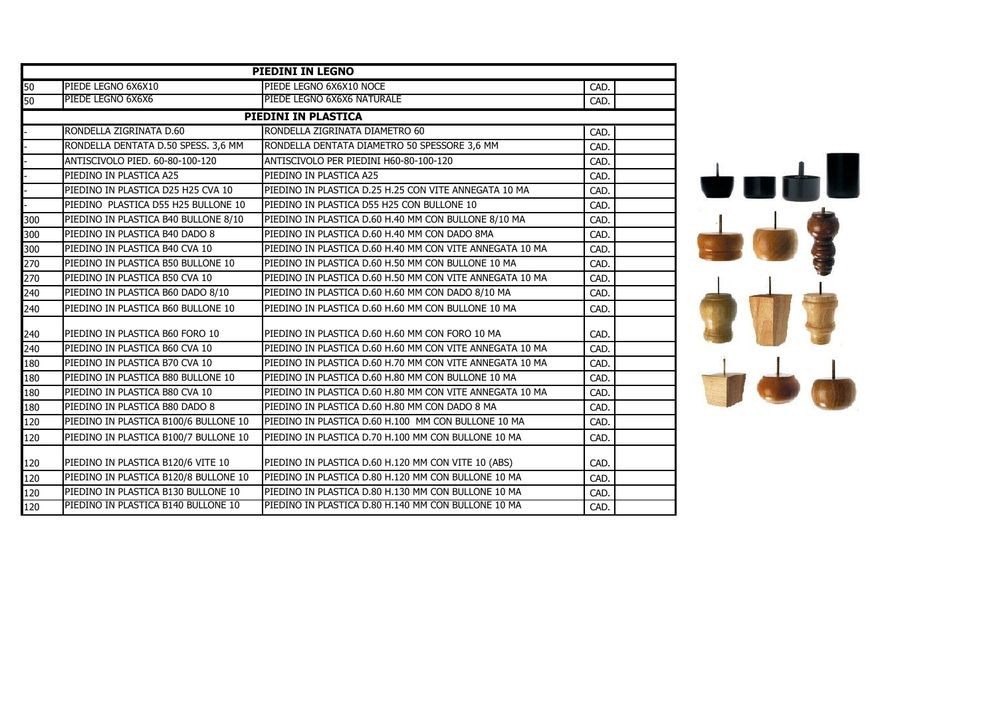|     | <b>PIEDINI IN LEGNO</b>               |                                                          |      |  |  |
|-----|---------------------------------------|----------------------------------------------------------|------|--|--|
| 50  | PIEDE LEGNO 6X6X10                    | PIEDE LEGNO 6X6X10 NOCE                                  | CAD. |  |  |
| 50  | PIEDE LEGNO 6X6X6                     | PIEDE LEGNO 6X6X6 NATURALE                               | CAD. |  |  |
|     |                                       | PIEDINI IN PLASTICA                                      |      |  |  |
|     | RONDELLA ZIGRINATA D.60               | RONDELLA ZIGRINATA DIAMETRO 60                           | CAD. |  |  |
|     | RONDELLA DENTATA D.50 SPESS. 3,6 MM   | RONDELLA DENTATA DIAMETRO 50 SPESSORE 3,6 MM             | CAD. |  |  |
|     | ANTISCIVOLO PIED, 60-80-100-120       | ANTISCIVOLO PER PIEDINI H60-80-100-120                   | CAD. |  |  |
|     | PIEDINO IN PLASTICA A25               | PIEDINO IN PLASTICA A25                                  | CAD. |  |  |
|     | PIEDINO IN PLASTICA D25 H25 CVA 10    | PIEDINO IN PLASTICA D.25 H.25 CON VITE ANNEGATA 10 MA    | CAD. |  |  |
|     | PIEDINO PLASTICA D55 H25 BULLONE 10   | PIEDINO IN PLASTICA D55 H25 CON BULLONE 10               | CAD. |  |  |
| 300 | PIEDINO IN PLASTICA B40 BULLONE 8/10  | PIEDINO IN PLASTICA D.60 H.40 MM CON BULLONE 8/10 MA     | CAD. |  |  |
| 300 | PIEDINO IN PLASTICA B40 DADO 8        | PIEDINO IN PLASTICA D.60 H.40 MM CON DADO 8MA            | CAD. |  |  |
| 300 | PIEDINO IN PLASTICA B40 CVA 10        | PIEDINO IN PLASTICA D.60 H.40 MM CON VITE ANNEGATA 10 MA | CAD. |  |  |
| 270 | PIEDINO IN PLASTICA B50 BULLONE 10    | PIEDINO IN PLASTICA D.60 H.50 MM CON BULLONE 10 MA       | CAD. |  |  |
| 270 | PIEDINO IN PLASTICA B50 CVA 10        | PIEDINO IN PLASTICA D.60 H.50 MM CON VITE ANNEGATA 10 MA | CAD. |  |  |
| 240 | PIEDINO IN PLASTICA B60 DADO 8/10     | PIEDINO IN PLASTICA D.60 H.60 MM CON DADO 8/10 MA        | CAD. |  |  |
| 240 | PIEDINO IN PLASTICA B60 BULLONE 10    | PIEDINO IN PLASTICA D.60 H.60 MM CON BULLONE 10 MA       | CAD. |  |  |
| 240 | PIEDINO IN PLASTICA B60 FORO 10       | PIEDINO IN PLASTICA D.60 H.60 MM CON FORO 10 MA          | CAD. |  |  |
| 240 | PIEDINO IN PLASTICA B60 CVA 10        | PIEDINO IN PLASTICA D.60 H.60 MM CON VITE ANNEGATA 10 MA | CAD. |  |  |
| 180 | PIEDINO IN PLASTICA B70 CVA 10        | PIEDINO IN PLASTICA D.60 H.70 MM CON VITE ANNEGATA 10 MA | CAD. |  |  |
| 180 | PIEDINO IN PLASTICA B80 BULLONE 10    | PIEDINO IN PLASTICA D.60 H.80 MM CON BULLONE 10 MA       | CAD. |  |  |
| 180 | PIEDINO IN PLASTICA B80 CVA 10        | PIEDINO IN PLASTICA D.60 H.80 MM CON VITE ANNEGATA 10 MA | CAD. |  |  |
| 180 | PIEDINO IN PLASTICA B80 DADO 8        | PIEDINO IN PLASTICA D.60 H.80 MM CON DADO 8 MA           | CAD. |  |  |
| 120 | PIEDINO IN PLASTICA B100/6 BULLONE 10 | PIEDINO IN PLASTICA D.60 H.100 MM CON BULLONE 10 MA      | CAD. |  |  |
| 120 | PIEDINO IN PLASTICA B100/7 BULLONE 10 | PIEDINO IN PLASTICA D.70 H.100 MM CON BULLONE 10 MA      | CAD. |  |  |
| 120 | PIEDINO IN PLASTICA B120/6 VITE 10    | PIEDINO IN PLASTICA D.60 H.120 MM CON VITE 10 (ABS)      | CAD. |  |  |
| 120 | PIEDINO IN PLASTICA B120/8 BULLONE 10 | PIEDINO IN PLASTICA D.80 H.120 MM CON BULLONE 10 MA      | CAD. |  |  |
| 120 | PIEDINO IN PLASTICA B130 BULLONE 10   | PIEDINO IN PLASTICA D.80 H.130 MM CON BULLONE 10 MA      | CAD. |  |  |
| 120 | PIEDINO IN PLASTICA B140 BULLONE 10   | PIEDINO IN PLASTICA D.80 H.140 MM CON BULLONE 10 MA      | CAD. |  |  |

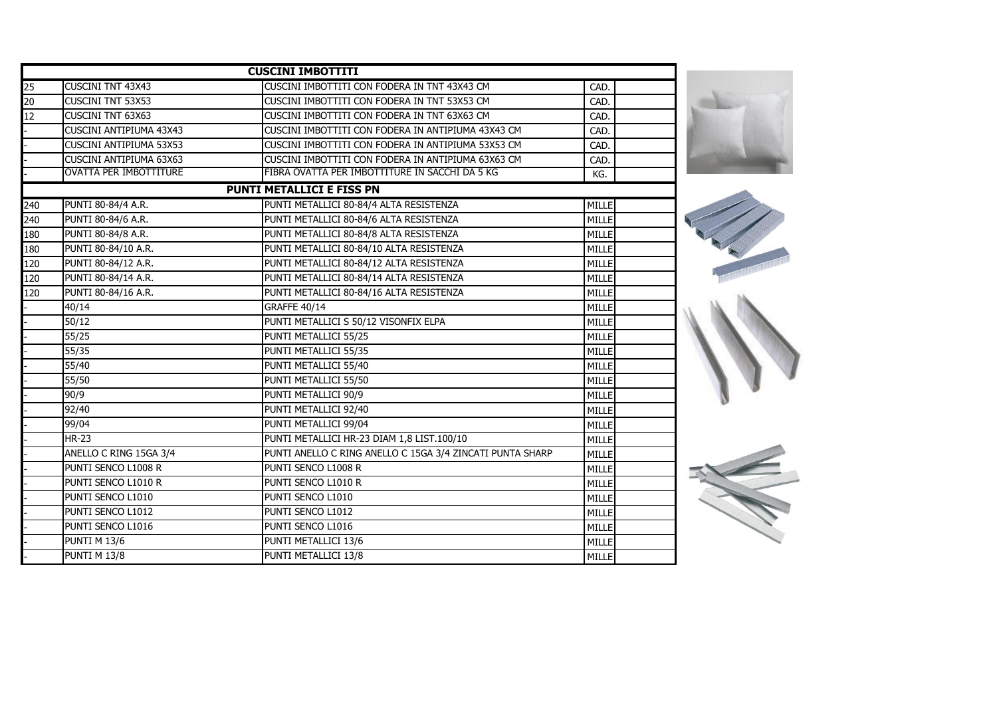|     |                                | <b>CUSCINI IMBOTTITI</b>                                  |              |  |
|-----|--------------------------------|-----------------------------------------------------------|--------------|--|
| 25  | <b>CUSCINI TNT 43X43</b>       | CUSCINI IMBOTTITI CON FODERA IN TNT 43X43 CM              | CAD.         |  |
| 20  | <b>CUSCINI TNT 53X53</b>       | CUSCINI IMBOTTITI CON FODERA IN TNT 53X53 CM              | CAD.         |  |
| 12  | <b>CUSCINI TNT 63X63</b>       | CUSCINI IMBOTTITI CON FODERA IN TNT 63X63 CM              | CAD.         |  |
|     | <b>CUSCINI ANTIPIUMA 43X43</b> | CUSCINI IMBOTTITI CON FODERA IN ANTIPIUMA 43X43 CM        | CAD.         |  |
|     | <b>CUSCINI ANTIPIUMA 53X53</b> | CUSCINI IMBOTTITI CON FODERA IN ANTIPIUMA 53X53 CM        | CAD          |  |
|     | <b>CUSCINI ANTIPIUMA 63X63</b> | CUSCINI IMBOTTITI CON FODERA IN ANTIPIUMA 63X63 CM        | <b>CAD</b>   |  |
|     | <b>OVATTA PER IMBOTTITURE</b>  | FIBRA OVATTA PER IMBOTTITURE IN SACCHI DA 5 KG            | KG.          |  |
|     |                                | <b>PUNTI METALLICI E FISS PN</b>                          |              |  |
| 240 | PUNTI 80-84/4 A.R.             | PUNTI METALLICI 80-84/4 ALTA RESISTENZA                   | MILLE        |  |
| 240 | PUNTI 80-84/6 A.R.             | PUNTI METALLICI 80-84/6 ALTA RESISTENZA                   | MILLE        |  |
| 180 | PUNTI 80-84/8 A.R.             | PUNTI METALLICI 80-84/8 ALTA RESISTENZA                   | <b>MILLE</b> |  |
| 180 | PUNTI 80-84/10 A.R.            | PUNTI METALLICI 80-84/10 ALTA RESISTENZA                  | MILLE        |  |
| 120 | PUNTI 80-84/12 A.R.            | PUNTI METALLICI 80-84/12 ALTA RESISTENZA                  | MILLE        |  |
| 120 | PUNTI 80-84/14 A.R.            | PUNTI METALLICI 80-84/14 ALTA RESISTENZA                  | <b>MILLE</b> |  |
| 120 | PUNTI 80-84/16 A.R.            | PUNTI METALLICI 80-84/16 ALTA RESISTENZA                  | <b>MILLE</b> |  |
|     | 40/14                          | <b>GRAFFE 40/14</b>                                       | <b>MILLE</b> |  |
|     | 50/12                          | PUNTI METALLICI S 50/12 VISONFIX ELPA                     | MILLE        |  |
|     | 55/25                          | PUNTI METALLICI 55/25                                     | <b>MILLE</b> |  |
|     | 55/35                          | PUNTI METALLICI 55/35                                     | <b>MILLE</b> |  |
|     | 55/40                          | PUNTI METALLICI 55/40                                     | <b>MILLE</b> |  |
|     | 55/50                          | PUNTI METALLICI 55/50                                     | <b>MILLE</b> |  |
|     | 90/9                           | PUNTI METALLICI 90/9                                      | <b>MILLE</b> |  |
|     | 92/40                          | PUNTI METALLICI 92/40                                     | <b>MILLE</b> |  |
|     | 99/04                          | PUNTI METALLICI 99/04                                     | <b>MILLE</b> |  |
|     | <b>HR-23</b>                   | PUNTI METALLICI HR-23 DIAM 1,8 LIST.100/10                | <b>MILLE</b> |  |
|     | ANELLO C RING 15GA 3/4         | PUNTI ANELLO C RING ANELLO C 15GA 3/4 ZINCATI PUNTA SHARP | MILLE        |  |
|     | PUNTI SENCO L1008 R            | PUNTI SENCO L1008 R                                       | <b>MILLE</b> |  |
|     | PUNTI SENCO L1010 R            | PUNTI SENCO L1010 R                                       | <b>MILLE</b> |  |
|     | PUNTI SENCO L1010              | PUNTI SENCO L1010                                         | <b>MILLE</b> |  |
|     | PUNTI SENCO L1012              | PUNTI SENCO L1012                                         | <b>MILLE</b> |  |
|     | PUNTI SENCO L1016              | PUNTI SENCO L1016                                         | <b>MILLE</b> |  |
|     | <b>PUNTI M 13/6</b>            | PUNTI METALLICI 13/6                                      | <b>MILLE</b> |  |
|     | PUNTI M 13/8                   | PUNTI METALLICI 13/8                                      | MILLE        |  |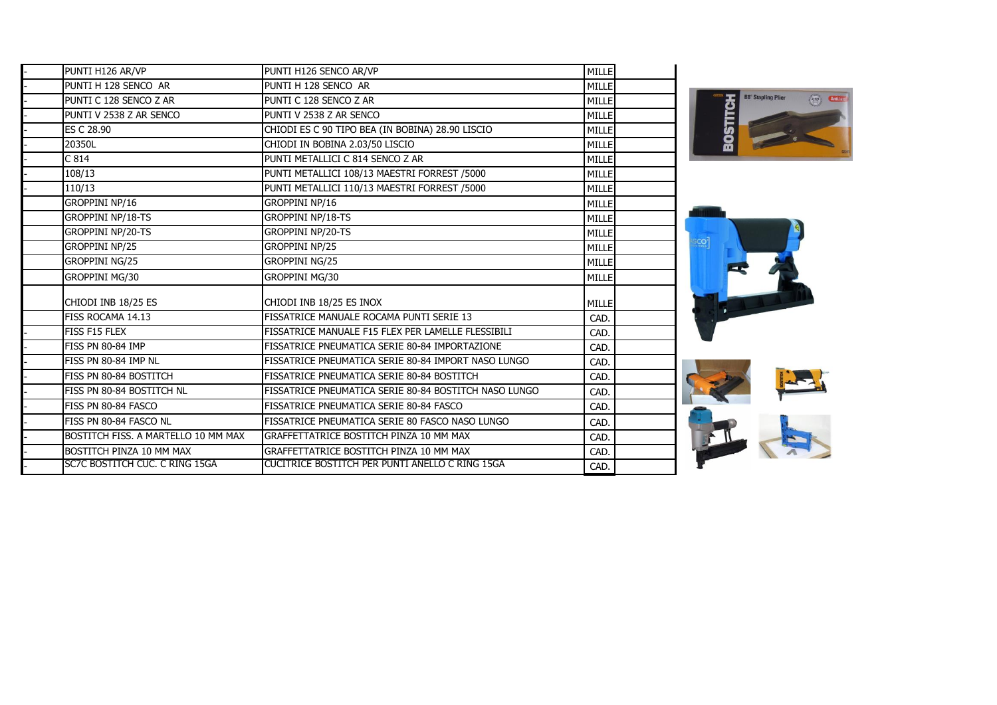| PUNTI H126 AR/VP                    | PUNTI H126 SENCO AR/VP                                | <b>MILLE</b> |
|-------------------------------------|-------------------------------------------------------|--------------|
| PUNTI H 128 SENCO AR                | PUNTI H 128 SENCO AR                                  | <b>MILLE</b> |
| PUNTI C 128 SENCO Z AR              | PUNTI C 128 SENCO Z AR                                | <b>MILLE</b> |
| PUNTI V 2538 Z AR SENCO             | PUNTI V 2538 Z AR SENCO                               | <b>MILLE</b> |
| ES C 28.90                          | CHIODI ES C 90 TIPO BEA (IN BOBINA) 28.90 LISCIO      | <b>MILLE</b> |
| 20350L                              | CHIODI IN BOBINA 2.03/50 LISCIO                       | <b>MILLE</b> |
| C814                                | PUNTI METALLICI C 814 SENCO Z AR                      | <b>MILLE</b> |
| 108/13                              | PUNTI METALLICI 108/13 MAESTRI FORREST /5000          | MILLE        |
| 110/13                              | PUNTI METALLICI 110/13 MAESTRI FORREST /5000          | MILLE        |
| <b>GROPPINI NP/16</b>               | GROPPINI NP/16                                        | MILLE        |
| <b>GROPPINI NP/18-TS</b>            | <b>GROPPINI NP/18-TS</b>                              | MILLE        |
| <b>GROPPINI NP/20-TS</b>            | <b>GROPPINI NP/20-TS</b>                              | MILLE        |
| <b>GROPPINI NP/25</b>               | <b>GROPPINI NP/25</b>                                 | MILLE        |
| <b>GROPPINI NG/25</b>               | <b>GROPPINI NG/25</b>                                 | MILLE        |
| GROPPINI MG/30                      | GROPPINI MG/30                                        | <b>MILLE</b> |
| CHIODI INB 18/25 ES                 | CHIODI INB 18/25 ES INOX                              | MILLE        |
| FISS ROCAMA 14.13                   | FISSATRICE MANUALE ROCAMA PUNTI SERIE 13              | CAD.         |
| FISS F15 FLEX                       | FISSATRICE MANUALE F15 FLEX PER LAMELLE FLESSIBILI    | CAD.         |
| FISS PN 80-84 IMP                   | FISSATRICE PNEUMATICA SERIE 80-84 IMPORTAZIONE        | CAD.         |
| FISS PN 80-84 IMP NL                | FISSATRICE PNEUMATICA SERIE 80-84 IMPORT NASO LUNGO   | CAD.         |
| FISS PN 80-84 BOSTITCH              | FISSATRICE PNEUMATICA SERIE 80-84 BOSTITCH            | CAD.         |
| FISS PN 80-84 BOSTITCH NL           | FISSATRICE PNEUMATICA SERIE 80-84 BOSTITCH NASO LUNGO | CAD.         |
| FISS PN 80-84 FASCO                 | FISSATRICE PNEUMATICA SERIE 80-84 FASCO               | CAD.         |
| FISS PN 80-84 FASCO NL              | FISSATRICE PNEUMATICA SERIE 80 FASCO NASO LUNGO       | CAD.         |
| BOSTITCH FISS. A MARTELLO 10 MM MAX | GRAFFETTATRICE BOSTITCH PINZA 10 MM MAX               | CAD.         |
| BOSTITCH PINZA 10 MM MAX            | GRAFFETTATRICE BOSTITCH PINZA 10 MM MAX               | CAD.         |
| SC7C BOSTITCH CUC. C RING 15GA      | CUCITRICE BOSTITCH PER PUNTI ANELLO C RING 15GA       | CAD.         |
|                                     |                                                       |              |





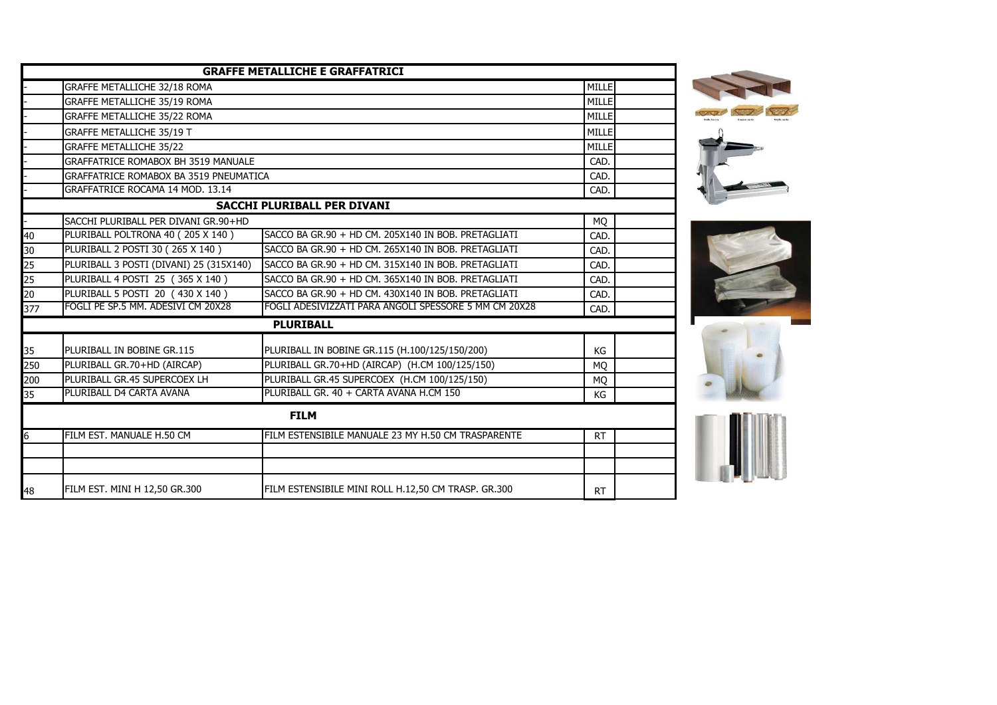|     |                                               | <b>GRAFFE METALLICHE E GRAFFATRICI</b>                |           |  |
|-----|-----------------------------------------------|-------------------------------------------------------|-----------|--|
|     | GRAFFE METALLICHE 32/18 ROMA                  |                                                       | MILLE     |  |
|     | GRAFFE METALLICHE 35/19 ROMA                  |                                                       | MILLE     |  |
|     | GRAFFE METALLICHE 35/22 ROMA                  |                                                       |           |  |
|     | <b>GRAFFE METALLICHE 35/19 T</b>              |                                                       |           |  |
|     | <b>GRAFFE METALLICHE 35/22</b>                |                                                       |           |  |
|     | <b>GRAFFATRICE ROMABOX BH 3519 MANUALE</b>    |                                                       |           |  |
|     | <b>GRAFFATRICE ROMABOX BA 3519 PNEUMATICA</b> |                                                       | CAD.      |  |
|     | GRAFFATRICE ROCAMA 14 MOD. 13.14              |                                                       | CAD.      |  |
|     |                                               | SACCHI PLURIBALL PER DIVANI                           |           |  |
|     | SACCHI PLURIBALL PER DIVANI GR.90+HD          |                                                       | MQ        |  |
| 40  | PLURIBALL POLTRONA 40 (205 X 140)             | SACCO BA GR.90 + HD CM. 205X140 IN BOB. PRETAGLIATI   | CAD.      |  |
| 30  | PLURIBALL 2 POSTI 30 (265 X 140)              | SACCO BA GR.90 + HD CM. 265X140 IN BOB. PRETAGLIATI   | CAD.      |  |
| 25  | PLURIBALL 3 POSTI (DIVANI) 25 (315X140)       | SACCO BA GR.90 + HD CM. 315X140 IN BOB. PRETAGLIATI   | CAD.      |  |
| 25  | PLURIBALL 4 POSTI 25 (365 X 140)              | SACCO BA GR.90 + HD CM, 365X140 IN BOB, PRETAGLIATI   | CAD.      |  |
| 20  | PLURIBALL 5 POSTI 20 (430 X 140)              | SACCO BA GR.90 + HD CM. 430X140 IN BOB. PRETAGLIATI   | CAD.      |  |
| 377 | FOGLI PE SP.5 MM. ADESIVI CM 20X28            | FOGLI ADESIVIZZATI PARA ANGOLI SPESSORE 5 MM CM 20X28 | CAD.      |  |
|     |                                               | <b>PLURIBALL</b>                                      |           |  |
| 35  | PLURIBALL IN BOBINE GR.115                    | PLURIBALL IN BOBINE GR.115 (H.100/125/150/200)        | KG        |  |
| 250 | PLURIBALL GR.70+HD (AIRCAP)                   | PLURIBALL GR.70+HD (AIRCAP) (H.CM 100/125/150)        | <b>MQ</b> |  |
| 200 | PLURIBALL GR.45 SUPERCOEX LH                  | PLURIBALL GR.45 SUPERCOEX (H.CM 100/125/150)          | MQ        |  |
| 35  | PLURIBALL D4 CARTA AVANA                      | PLURIBALL GR. 40 + CARTA AVANA H.CM 150               | КG        |  |
|     |                                               | <b>FILM</b>                                           |           |  |
|     | FILM EST. MANUALE H.50 CM                     | FILM ESTENSIBILE MANUALE 23 MY H.50 CM TRASPARENTE    | <b>RT</b> |  |
|     |                                               |                                                       |           |  |
|     |                                               |                                                       |           |  |
| 48  | FILM EST. MINI H 12,50 GR.300                 | FILM ESTENSIBILE MINI ROLL H.12,50 CM TRASP. GR.300   | <b>RT</b> |  |







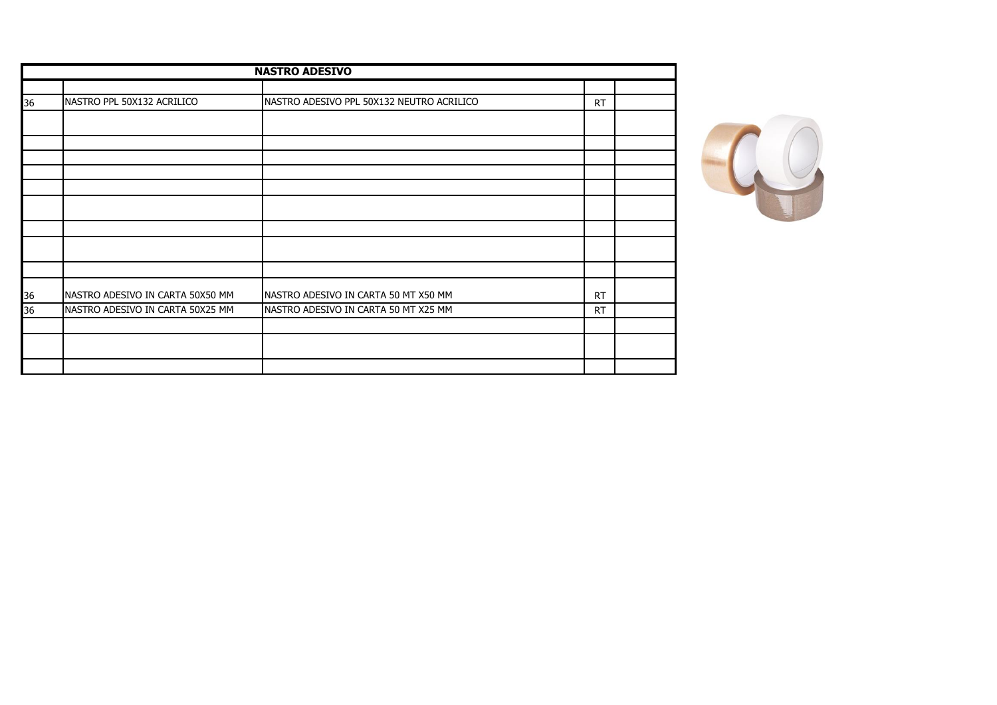| <b>NASTRO ADESIVO</b> |                                  |                                           |           |  |
|-----------------------|----------------------------------|-------------------------------------------|-----------|--|
|                       |                                  |                                           |           |  |
| 36                    | NASTRO PPL 50X132 ACRILICO       | NASTRO ADESIVO PPL 50X132 NEUTRO ACRILICO | <b>RT</b> |  |
|                       |                                  |                                           |           |  |
|                       |                                  |                                           |           |  |
|                       |                                  |                                           |           |  |
|                       |                                  |                                           |           |  |
|                       |                                  |                                           |           |  |
|                       |                                  |                                           |           |  |
|                       |                                  |                                           |           |  |
|                       |                                  |                                           |           |  |
|                       |                                  |                                           |           |  |
| 36                    | NASTRO ADESIVO IN CARTA 50X50 MM | NASTRO ADESIVO IN CARTA 50 MT X50 MM      | RT        |  |
| 36                    | NASTRO ADESIVO IN CARTA 50X25 MM | NASTRO ADESIVO IN CARTA 50 MT X25 MM      | <b>RT</b> |  |
|                       |                                  |                                           |           |  |
|                       |                                  |                                           |           |  |
|                       |                                  |                                           |           |  |

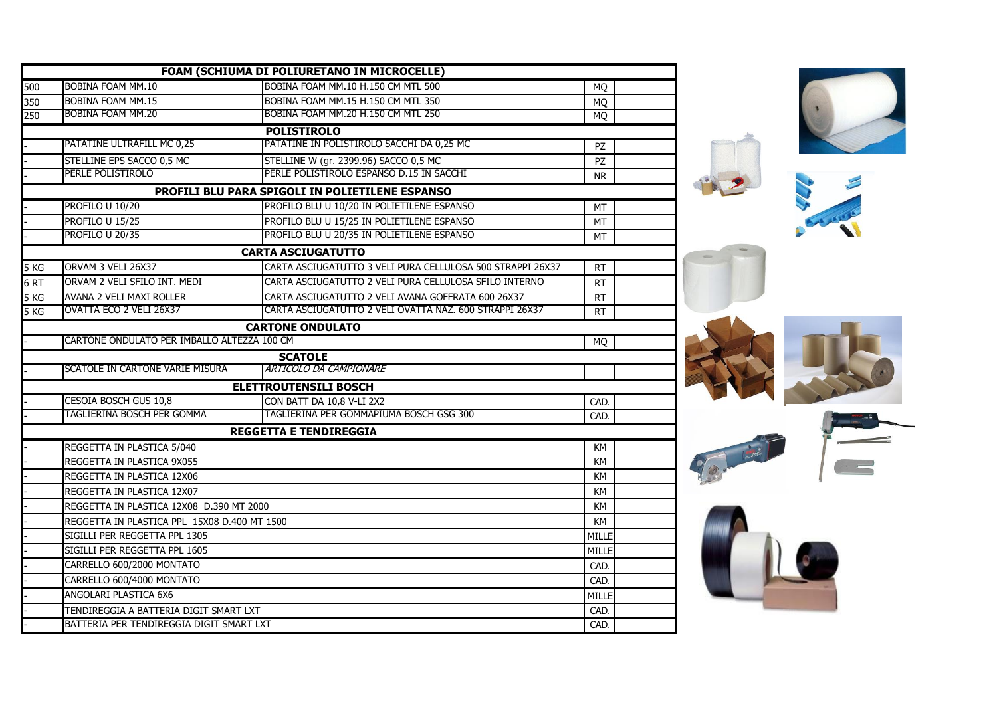| FOAM (SCHIUMA DI POLIURETANO IN MICROCELLE) |                                              |                                                            |            |
|---------------------------------------------|----------------------------------------------|------------------------------------------------------------|------------|
| 500                                         | BOBINA FOAM MM.10                            | BOBINA FOAM MM.10 H.150 CM MTL 500                         | <b>MO</b>  |
| 350                                         | <b>BOBINA FOAM MM.15</b>                     | BOBINA FOAM MM.15 H.150 CM MTL 350                         | <b>MQ</b>  |
| 250                                         | BOBINA FOAM MM.20                            | BOBINA FOAM MM.20 H.150 CM MTL 250                         | <b>MQ</b>  |
|                                             |                                              | <b>POLISTIROLO</b>                                         |            |
|                                             | PATATINE ULTRAFILL MC 0,25                   | PATATINE IN POLISTIROLO SACCHI DA 0,25 MC                  | <b>PZ</b>  |
|                                             | STELLINE EPS SACCO 0,5 MC                    | STELLINE W (gr. 2399.96) SACCO 0,5 MC                      | PZ         |
|                                             | PERLE POLISTIROLO                            | PERLE POLISTIROLO ESPANSO D.15 IN SACCHI                   | <b>NR</b>  |
|                                             |                                              | PROFILI BLU PARA SPIGOLI IN POLIETILENE ESPANSO            |            |
|                                             | PROFILO U 10/20                              | PROFILO BLU U 10/20 IN POLIETILENE ESPANSO                 | MT         |
|                                             | PROFILO U 15/25                              | PROFILO BLU U 15/25 IN POLIETILENE ESPANSO                 | MT         |
|                                             | PROFILO U 20/35                              | PROFILO BLU U 20/35 IN POLIETILENE ESPANSO                 | МT         |
|                                             |                                              | <b>CARTA ASCIUGATUTTO</b>                                  |            |
| 5 KG                                        | ORVAM 3 VELI 26X37                           | CARTA ASCIUGATUTTO 3 VELI PURA CELLULOSA 500 STRAPPI 26X37 | <b>RT</b>  |
| 6 <sub>RT</sub>                             | ORVAM 2 VELI SFILO INT. MEDI                 | CARTA ASCIUGATUTTO 2 VELI PURA CELLULOSA SFILO INTERNO     | <b>RT</b>  |
| 5 KG                                        | AVANA 2 VELI MAXI ROLLER                     | CARTA ASCIUGATUTTO 2 VELI AVANA GOFFRATA 600 26X37         | <b>RT</b>  |
| 5 <sub>KG</sub>                             | OVATTA ECO 2 VELI 26X37                      | CARTA ASCIUGATUTTO 2 VELI OVATTA NAZ. 600 STRAPPI 26X37    | <b>RT</b>  |
|                                             |                                              | <b>CARTONE ONDULATO</b>                                    |            |
|                                             | CARTONE ONDULATO PER IMBALLO ALTEZZA 100 CM  |                                                            | <b>MQ</b>  |
|                                             |                                              | <b>SCATOLE</b>                                             |            |
|                                             | SCATOLE IN CARTONE VARIE MISURA              | <b>ARTICOLO DA CAMPIONARE</b>                              |            |
|                                             |                                              | <b>ELETTROUTENSILI BOSCH</b>                               |            |
|                                             | CESOIA BOSCH GUS 10,8                        | CON BATT DA 10,8 V-LI 2X2                                  | <b>CAD</b> |
|                                             | TAGLIERINA BOSCH PER GOMMA                   | TAGLIERINA PER GOMMAPIUMA BOSCH GSG 300                    | CAD.       |
|                                             |                                              | <b>REGGETTA E TENDIREGGIA</b>                              |            |
|                                             | REGGETTA IN PLASTICA 5/040                   |                                                            | KM         |
|                                             | REGGETTA IN PLASTICA 9X055                   |                                                            | KM         |
|                                             | REGGETTA IN PLASTICA 12X06                   |                                                            |            |
|                                             | REGGETTA IN PLASTICA 12X07                   |                                                            |            |
|                                             | REGGETTA IN PLASTICA 12X08 D.390 MT 2000     |                                                            |            |
|                                             | REGGETTA IN PLASTICA PPL 15X08 D.400 MT 1500 |                                                            |            |
|                                             | SIGILLI PER REGGETTA PPL 1305                |                                                            |            |
|                                             | SIGILLI PER REGGETTA PPL 1605                |                                                            |            |
|                                             | CARRELLO 600/2000 MONTATO                    |                                                            |            |
|                                             | CARRELLO 600/4000 MONTATO                    |                                                            |            |
|                                             | ANGOLARI PLASTICA 6X6                        |                                                            |            |
|                                             | TENDIREGGIA A BATTERIA DIGIT SMART LXT       |                                                            |            |
|                                             | BATTERIA PER TENDIREGGIA DIGIT SMART LXT     |                                                            |            |













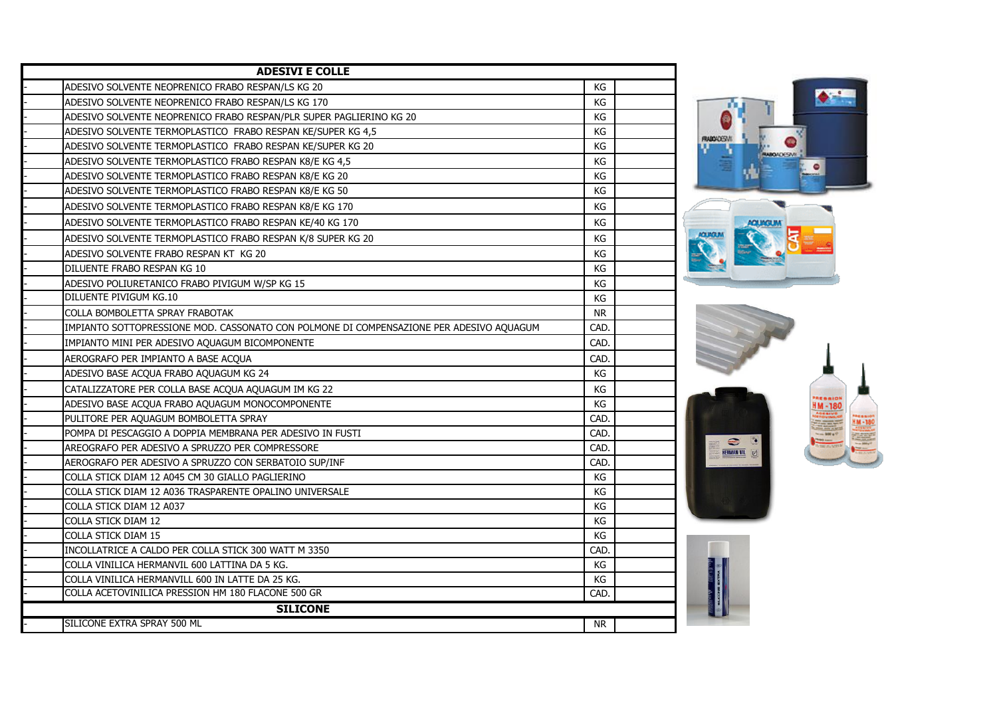| <b>ADESIVI E COLLE</b>                                                                  |           |  |  |  |
|-----------------------------------------------------------------------------------------|-----------|--|--|--|
| ADESIVO SOLVENTE NEOPRENICO FRABO RESPAN/LS KG 20                                       | КG        |  |  |  |
| ADESIVO SOLVENTE NEOPRENICO FRABO RESPAN/LS KG 170                                      | KG        |  |  |  |
| ADESIVO SOLVENTE NEOPRENICO FRABO RESPAN/PLR SUPER PAGLIERINO KG 20                     | КG        |  |  |  |
| ADESIVO SOLVENTE TERMOPLASTICO FRABO RESPAN KE/SUPER KG 4,5                             | КG        |  |  |  |
| ADESIVO SOLVENTE TERMOPLASTICO FRABO RESPAN KE/SUPER KG 20                              | KG        |  |  |  |
| ADESIVO SOLVENTE TERMOPLASTICO FRABO RESPAN K8/E KG 4,5                                 | KG        |  |  |  |
| ADESIVO SOLVENTE TERMOPLASTICO FRABO RESPAN K8/E KG 20                                  | KG        |  |  |  |
| ADESIVO SOLVENTE TERMOPLASTICO FRABO RESPAN K8/E KG 50                                  | KG        |  |  |  |
| ADESIVO SOLVENTE TERMOPLASTICO FRABO RESPAN K8/E KG 170                                 | KG        |  |  |  |
| ADESIVO SOLVENTE TERMOPLASTICO FRABO RESPAN KE/40 KG 170                                | KG        |  |  |  |
| ADESIVO SOLVENTE TERMOPLASTICO FRABO RESPAN K/8 SUPER KG 20                             | КG        |  |  |  |
| ADESIVO SOLVENTE FRABO RESPAN KT KG 20                                                  | KG        |  |  |  |
| DILUENTE FRABO RESPAN KG 10                                                             | КG        |  |  |  |
| ADESIVO POLIURETANICO FRABO PIVIGUM W/SP KG 15                                          | KG        |  |  |  |
| DILUENTE PIVIGUM KG.10                                                                  | KG        |  |  |  |
| COLLA BOMBOLETTA SPRAY FRABOTAK                                                         | <b>NR</b> |  |  |  |
| IMPIANTO SOTTOPRESSIONE MOD. CASSONATO CON POLMONE DI COMPENSAZIONE PER ADESIVO AQUAGUM | CAD.      |  |  |  |
| IMPIANTO MINI PER ADESIVO AQUAGUM BICOMPONENTE                                          | CAD.      |  |  |  |
| AEROGRAFO PER IMPIANTO A BASE ACQUA                                                     | CAD.      |  |  |  |
| ADESIVO BASE ACQUA FRABO AQUAGUM KG 24                                                  | KG        |  |  |  |
| CATALIZZATORE PER COLLA BASE ACQUA AQUAGUM IM KG 22                                     | KG        |  |  |  |
| ADESIVO BASE ACQUA FRABO AQUAGUM MONOCOMPONENTE                                         | KG        |  |  |  |
| PULITORE PER AQUAGUM BOMBOLETTA SPRAY                                                   | CAD.      |  |  |  |
| POMPA DI PESCAGGIO A DOPPIA MEMBRANA PER ADESIVO IN FUSTI                               | CAD.      |  |  |  |
| AREOGRAFO PER ADESIVO A SPRUZZO PER COMPRESSORE                                         | CAD.      |  |  |  |
| AEROGRAFO PER ADESIVO A SPRUZZO CON SERBATOIO SUP/INF                                   | CAD.      |  |  |  |
| COLLA STICK DIAM 12 A045 CM 30 GIALLO PAGLIERINO                                        | KG        |  |  |  |
| COLLA STICK DIAM 12 A036 TRASPARENTE OPALINO UNIVERSALE                                 | KG        |  |  |  |
| COLLA STICK DIAM 12 A037                                                                | KG        |  |  |  |
| COLLA STICK DIAM 12                                                                     | КG        |  |  |  |
| COLLA STICK DIAM 15                                                                     | КG        |  |  |  |
| INCOLLATRICE A CALDO PER COLLA STICK 300 WATT M 3350                                    | CAD.      |  |  |  |
| COLLA VINILICA HERMANVIL 600 LATTINA DA 5 KG.                                           | KG        |  |  |  |
| COLLA VINILICA HERMANVILL 600 IN LATTE DA 25 KG.                                        | KG        |  |  |  |
| COLLA ACETOVINILICA PRESSION HM 180 FLACONE 500 GR                                      | CAD.      |  |  |  |
| <b>SILICONE</b>                                                                         |           |  |  |  |
| SILICONE EXTRA SPRAY 500 ML                                                             | NR        |  |  |  |



 $\bullet$   $\bullet$